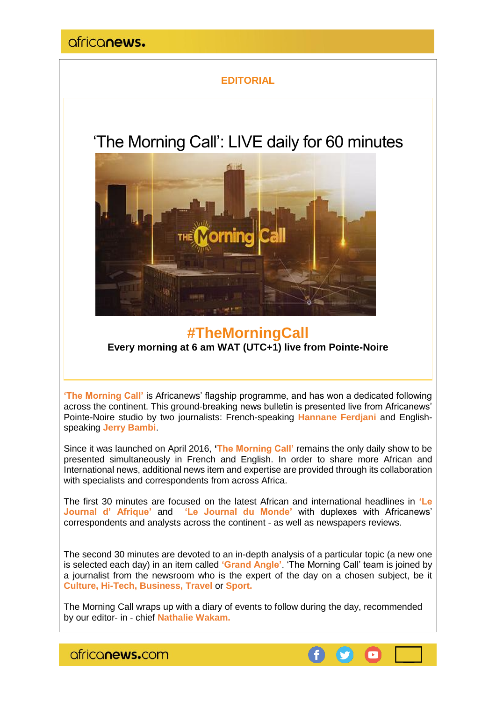### **EDITORIAL**

# 'The Morning Call': LIVE daily for 60 minutes



## **#TheMorningCall Every morning at 6 am WAT (UTC+1) live from Pointe-Noire**

**'The Morning Call'** is Africanews' flagship programme, and has won a dedicated following across the continent. This ground-breaking news bulletin is presented live from Africanews' Pointe-Noire studio by two journalists: French-speaking **Hannane Ferdjani** and Englishspeaking **Jerry Bambi**.

Since it was launched on April 2016, **'The Morning Call'** remains the only daily show to be presented simultaneously in French and English. In order to share more African and International news, additional news item and expertise are provided through its collaboration with specialists and correspondents from across Africa.

The first 30 minutes are focused on the latest African and international headlines in **'Le Journal d' Afrique'** and **'Le Journal du Monde'** with duplexes with Africanews' correspondents and analysts across the continent - as well as newspapers reviews.

The second 30 minutes are devoted to an in-depth analysis of a particular topic (a new one is selected each day) in an item called **'Grand Angle'**. 'The Morning Call' team is joined by a journalist from the newsroom who is the expert of the day on a chosen subject, be it **Culture, Hi-Tech, Business, Travel** or **Sport.**

The Morning Call wraps up with a diary of events to follow during the day, recommended by our editor- in - chief **Nathalie Wakam.**

africanews.com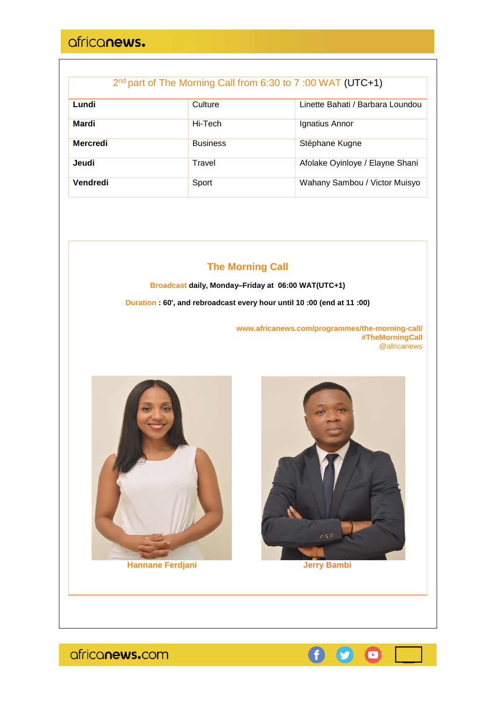| 2nd part of The Morning Call from 6:30 to 7:00 WAT (UTC+1) |  |  |  |
|------------------------------------------------------------|--|--|--|
|------------------------------------------------------------|--|--|--|

| Lundi           | Culture         | Linette Bahati / Barbara Loundou |
|-----------------|-----------------|----------------------------------|
| Mardi           | Hi-Tech         | Ignatius Annor                   |
| <b>Mercredi</b> | <b>Business</b> | Stéphane Kugne                   |
| Jeudi           | Travel          | Afolake Oyinloye / Elayne Shani  |
| Vendredi        | Sport           | Wahany Sambou / Victor Muisyo    |

### **The Morning Call**

**Broadcast daily, Monday–Friday at 06:00 WAT(UTC+1)**

**Duration : 60', and rebroadcast every hour until 10 :00 (end at 11 :00)**

**www.africanews.com/programmes/the-morning-call/ #TheMorningCall** @africanews





**Hannane Ferdjani Jerry Bambi**



africanews.com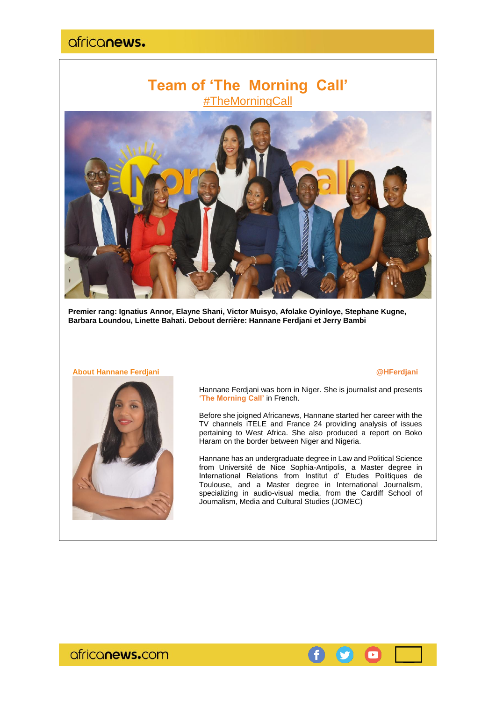## **Team of 'The Morning Call'** #TheMorningCall



**Premier rang: Ignatius Annor, Elayne Shani, Victor Muisyo, Afolake Oyinloye, Stephane Kugne, Barbara Loundou, Linette Bahati. Debout derrière: Hannane Ferdjani et Jerry Bambi**

#### **About Hannane Ferdjani @HFerdjani**



Hannane Ferdjani was born in Niger. She is journalist and presents **'The Morning Call'** in French.

Before she joigned Africanews, Hannane started her career with the TV channels iTELE and France 24 providing analysis of issues pertaining to West Africa. She also produced a report on Boko Haram on the border between Niger and Nigeria.

Hannane has an undergraduate degree in Law and Political Science from Université de Nice Sophia-Antipolis, a Master degree in International Relations from Institut d' Etudes Politiques de Toulouse, and a Master degree in International Journalism, specializing in audio-visual media, from the Cardiff School of Journalism, Media and Cultural Studies (JOMEC)



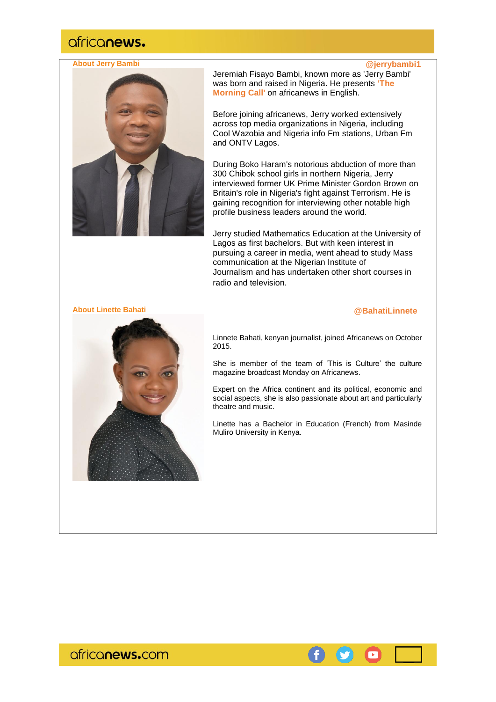### **About Jerry Bambi @jerrybambi1**



Jeremiah Fisayo Bambi, known more as 'Jerry Bambi' was born and raised in Nigeria. He presents **'The Morning Call'** on africanews in English.

Before joining africanews, Jerry worked extensively across top media organizations in Nigeria, including Cool Wazobia and Nigeria info Fm stations, Urban Fm and ONTV Lagos.

During Boko Haram's notorious abduction of more than 300 Chibok school girls in northern Nigeria, Jerry interviewed former UK Prime Minister Gordon Brown on Britain's role in Nigeria's fight against Terrorism. He is gaining recognition for interviewing other notable high profile business leaders around the world.

Jerry studied Mathematics Education at the University of Lagos as first bachelors. But with keen interest in pursuing a career in media, went ahead to study Mass communication at the Nigerian Institute of Journalism and has undertaken other short courses in radio and television.

#### **About Linette Bahati**

#### **@BahatiLinnete**



Linnete Bahati, kenyan journalist, joined Africanews on October 2015.

She is member of the team of 'This is Culture' the culture magazine broadcast Monday on Africanews.

Expert on the Africa continent and its political, economic and social aspects, she is also passionate about art and particularly theatre and music.

Linette has a Bachelor in Education (French) from Masinde Muliro University in Kenya.

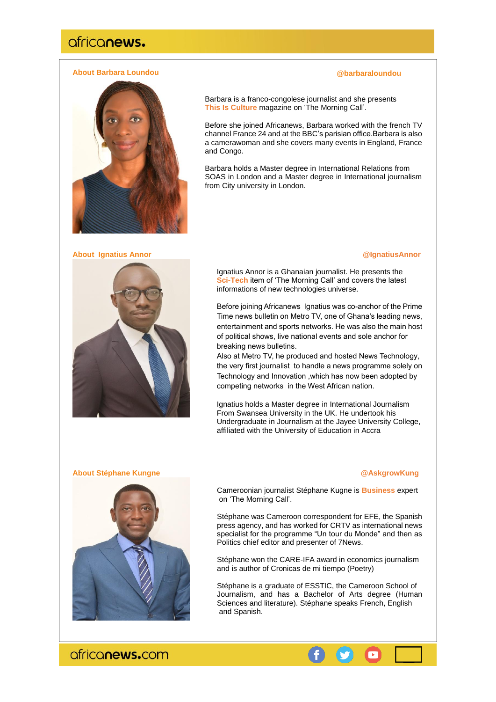#### **About Barbara Loundou**

#### Barbara is a franco-congolese journalist and she presents **This Is Culture** magazine on 'The Morning Call'.

Before she joined Africanews, Barbara worked with the french TV channel France 24 and at the BBC's parisian office.Barbara is also a camerawoman and she covers many events in England, France and Congo.

Barbara holds a Master degree in International Relations from SOAS in London and a Master degree in International journalism from City university in London.

### **About Ignatius Annor @IgnatiusAnnor**



**@barbaraloundou**

Ignatius Annor is a Ghanaian journalist. He presents the **Sci-Tech** item of 'The Morning Call' and covers the latest informations of new technologies universe.

Before joining Africanews Ignatius was co-anchor of the Prime Time news bulletin on Metro TV, one of Ghana's leading news, entertainment and sports networks. He was also the main host of political shows, live national events and sole anchor for breaking news bulletins.

Also at Metro TV, he produced and hosted News Technology, the very first journalist to handle a news programme solely on Technology and Innovation ,which has now been adopted by competing networks in the West African nation.

Ignatius holds a Master degree in International Journalism From Swansea University in the UK. He undertook his Undergraduate in Journalism at the Jayee University College, affiliated with the University of Education in Accra

#### **About Stéphane Kungne @AskgrowKung**



Cameroonian journalist Stéphane Kugne is **Business** expert on 'The Morning Call'.

Stéphane was Cameroon correspondent for EFE, the Spanish press agency, and has worked for CRTV as international news specialist for the programme "Un tour du Monde" and then as Politics chief editor and presenter of 7News.

Stéphane won the CARE-IFA award in economics journalism and is author of Cronicas de mi tiempo (Poetry)

Stéphane is a graduate of ESSTIC, the Cameroon School of Journalism, and has a Bachelor of Arts degree (Human Sciences and literature). Stéphane speaks French, English and Spanish.

**CE** 

 $\bullet$ 

ofriconews.com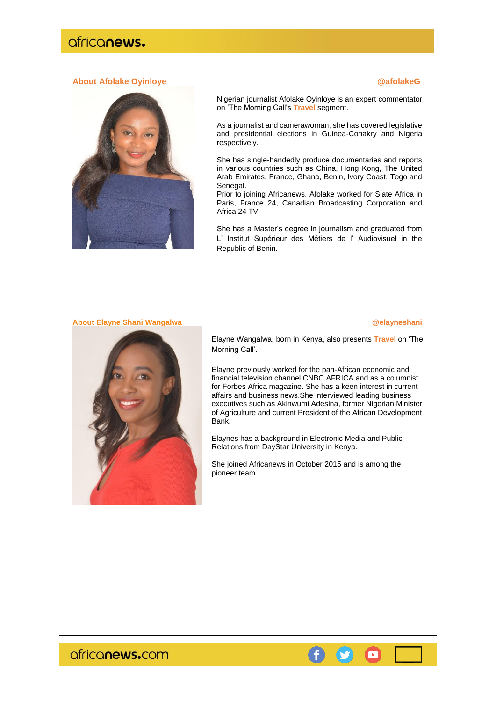### **About Afolake Oyinloye @afolakeG**



Nigerian journalist Afolake Oyinloye is an expert commentator on 'The Morning Call's **Travel** segment.

As a journalist and camerawoman, she has covered legislative and presidential elections in Guinea-Conakry and Nigeria respectively.

She has single-handedly produce documentaries and reports in various countries such as China, Hong Kong, The United Arab Emirates, France, Ghana, Benin, Ivory Coast, Togo and Senegal.

Prior to joining Africanews, Afolake worked for Slate Africa in Paris, France 24, Canadian Broadcasting Corporation and Africa 24 TV.

She has a Master's degree in journalism and graduated from L' Institut Supérieur des Métiers de l' Audiovisuel in the Republic of Benin.

### **About Elayne Shani Wangalwa**

#### **@elayneshani**



Elayne Wangalwa, born in Kenya, also presents **Travel** on 'The Morning Call'.

Elayne previously worked for the pan-African economic and financial television channel CNBC AFRICA and as a columnist for Forbes Africa magazine. She has a keen interest in current affairs and business news.She interviewed leading business executives such as Akinwumi Adesina, former Nigerian Minister of Agriculture and current President of the African Development Bank.

Elaynes has a background in Electronic Media and Public Relations from DayStar University in Kenya.

She joined Africanews in October 2015 and is among the pioneer team

africanews.com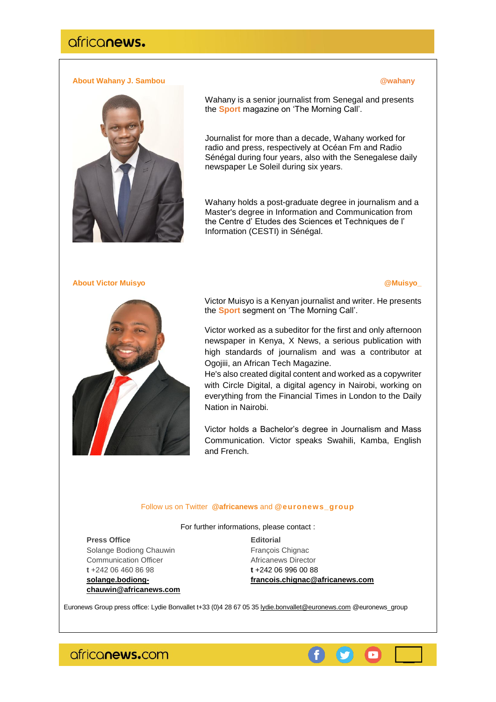### **About Wahany J. Sambou and Construction of the Construction of the Construction of the Construction of the Construction of the Construction of the Construction of the Construction of the Construction of the Construction o**



Wahany is a senior journalist from Senegal and presents the **Sport** magazine on 'The Morning Call'.

Journalist for more than a decade, Wahany worked for radio and press, respectively at Océan Fm and Radio Sénégal during four years, also with the Senegalese daily newspaper Le Soleil during six years.

Wahany holds a post-graduate degree in journalism and a Master's degree in Information and Communication from the Centre d' Etudes des Sciences et Techniques de l' Information (CESTI) in Sénégal.

#### **About Victor Muisyo @Muisyo\_**



Victor Muisyo is a Kenyan journalist and writer. He presents the **Sport** segment on 'The Morning Call'.

Victor worked as a subeditor for the first and only afternoon newspaper in Kenya, X News, a serious publication with high standards of journalism and was a contributor at Ogojiii, an African Tech Magazine.

He's also created digital content and worked as a copywriter with Circle Digital, a digital agency in Nairobi, working on everything from the Financial Times in London to the Daily Nation in Nairobi.

Victor holds a Bachelor's degree in Journalism and Mass Communication. Victor speaks Swahili, Kamba, English and French.

#### Follow us on Twitter **@africanews** and **[@euronews\\_group](https://twitter.com/euronews_group)**

For further informations, please contact :

**Press Office Editorial** Solange Bodiong Chauwin François Chignac Communication Officer **Africanews Director t** +242 06 460 86 98 **t** +242 06 996 00 88

**[solange.bodiong](mailto:solange.bodiong-chauwin@africanews.com)[chauwin@africanews.com](mailto:solange.bodiong-chauwin@africanews.com)** **[francois.chignac@africanews.com](mailto:francois.chignac@africanews.com)**

Euronews Group press office: Lydie Bonvallet t+33 (0)4 28 67 05 35 [lydie.bonvallet@euronews.com](mailto:lydie.bonvallet@euronews.com) [@euronews\\_group](https://twitter.com/euronews_group)

ofriconews.com